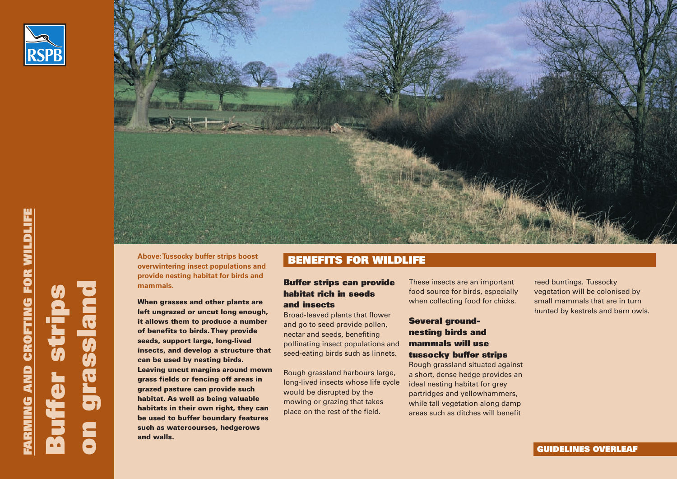



**LIF E**

**u**

**o**

**n**

**g r a s s**

**a n**

**d**

**er**

**s**

**r**

**p**

**s**

Above: Tussocky buffer strips boost<br> **BENEFITS FOR WILDLIFE overwintering insect populations and provide nesting habitat for birds and mammals.**

**When grasses and other plants are left ungrazed or uncut long enough, it allows them to produce a number of benefits to birds. They provide seeds, support large, long-lived insects, and develop a structure that can be used by nesting birds. Leaving uncut margins around mown grass fields or fencing off areas in grazed pasture can provide such habitat. As well as being valuable habitats in their own right, they can be used to buffer boundary features such as watercourses, hedgerows and walls.** 

## **Buffer strips can provide habitat rich in seeds and insects**

Broad-leaved plants that flower and go to seed provide pollen, nectar and seeds, benefiting pollinating insect populations and seed-eating birds such as linnets.

Rough grassland harbours large, long-lived insects whose life cycle would be disrupted by the mowing or grazing that takes place on the rest of the field.

These insects are an important food source for birds, especially when collecting food for chicks.

# **Several groundnesting birds and mammals will use tussocky buffer strips**

Rough grassland situated against a short, dense hedge provides an ideal nesting habitat for grey partridges and yellowhammers, while tall vegetation along damp areas such as ditches will benefit

reed buntings. Tussocky vegetation will be colonised by small mammals that are in turn hunted by kestrels and barn owls.